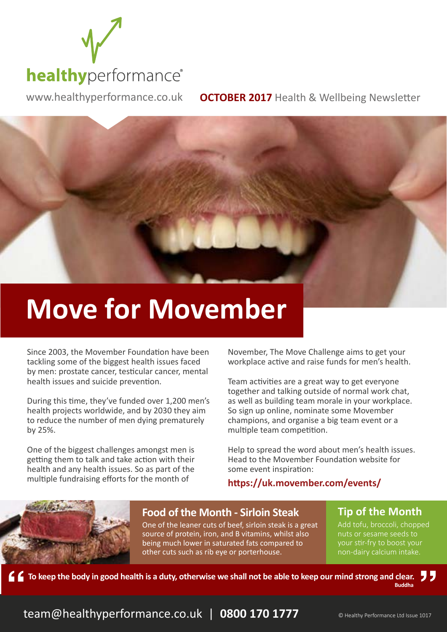

www.healthyperformance.co.uk **OCTOBER 2017** Health & Wellbeing Newsletter

# **Move for Movember**

Since 2003, the Movember Foundation have been tackling some of the biggest health issues faced by men: prostate cancer, testicular cancer, mental health issues and suicide prevention.

During this time, they've funded over 1,200 men's health projects worldwide, and by 2030 they aim to reduce the number of men dying prematurely by 25%.

One of the biggest challenges amongst men is getting them to talk and take action with their health and any health issues. So as part of the multiple fundraising efforts for the month of

November, The Move Challenge aims to get your workplace active and raise funds for men's health.

Team activities are a great way to get everyone together and talking outside of normal work chat, as well as building team morale in your workplace. So sign up online, nominate some Movember champions, and organise a big team event or a multiple team competition.

Help to spread the word about men's health issues. Head to the Movember Foundation website for some event inspiration:

#### **https://uk.movember.com/events/**

### **Food of the Month - Sirloin Steak**

One of the leaner cuts of beef, sirloin steak is a great source of protein, iron, and B vitamins, whilst also being much lower in saturated fats compared to other cuts such as rib eye or porterhouse.

**Tip of the Month**

Add tofu, broccoli, chopped nuts or sesame seeds to your stir-fry to boost your non-dairy calcium intake.

Ы, **To keep the body in good health is a duty, otherwise we shall not be able to keep our mind strong and clear. Buddha**

team@healthyperformance.co.uk | 0800 170 1777 **CHealthy Performance Ltd Issue 1017**